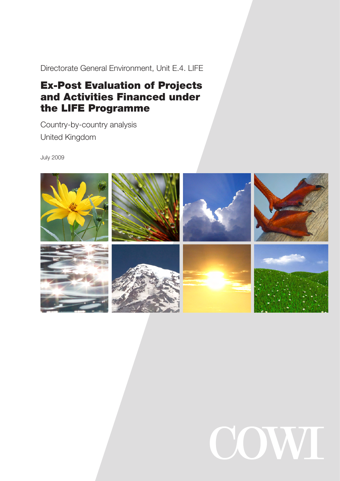Directorate General Environment, Unit E.4. LIFE

# Ex-Post Evaluation of Projects and Activities Financed under the LIFE Programme

Country-by-country analysis United Kingdom

July 2009



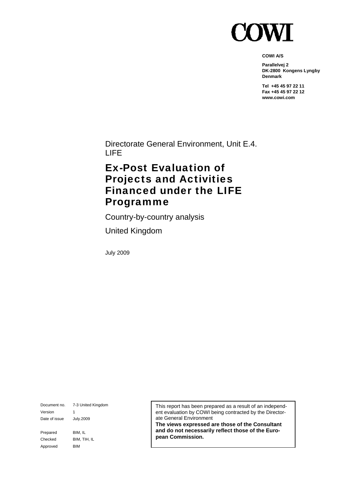

**COWI A/S** 

**Parallelvej 2 DK-2800 Kongens Lyngby Denmark** 

**Tel +45 45 97 22 11 Fax +45 45 97 22 12 www.cowi.com** 

Directorate General Environment, Unit E.4. LIFE

## Ex-Post Evaluation of Projects and Activities Financed under the LIFE Programme

Country-by-country analysis

United Kingdom

July 2009

Document no. 7-3 United Kingdom Version 1 Date of issue July.2009 Prepared BIM, IL Checked BIM, TIH, IL Approved BIM

This report has been prepared as a result of an independent evaluation by COWI being contracted by the Directorate General Environment

**The views expressed are those of the Consultant and do not necessarily reflect those of the European Commission.**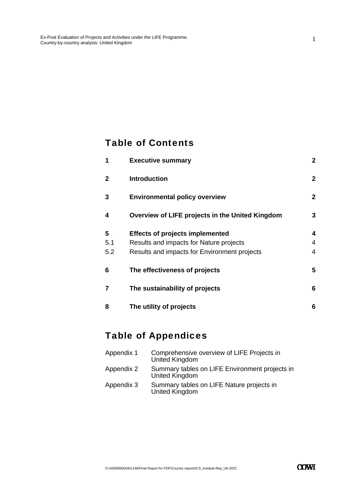### Table of Contents

| 1   | <b>Executive summary</b>                        | $\overline{2}$   |
|-----|-------------------------------------------------|------------------|
| 2   | <b>Introduction</b>                             | $\boldsymbol{2}$ |
| 3   | <b>Environmental policy overview</b>            | $\mathbf{2}$     |
| 4   | Overview of LIFE projects in the United Kingdom | 3                |
| 5   | <b>Effects of projects implemented</b>          | 4                |
| 5.1 | Results and impacts for Nature projects         | 4                |
| 5.2 | Results and impacts for Environment projects    | 4                |
| 6   | The effectiveness of projects                   | 5                |
| 7   | The sustainability of projects                  | 6                |
| 8   | The utility of projects                         | 6                |

## Table of Appendices

| Appendix 1 | Comprehensive overview of LIFE Projects in<br><b>United Kingdom</b> |
|------------|---------------------------------------------------------------------|
| Appendix 2 | Summary tables on LIFE Environment projects in<br>United Kingdom    |
| Appendix 3 | Summary tables on LIFE Nature projects in<br>United Kingdom         |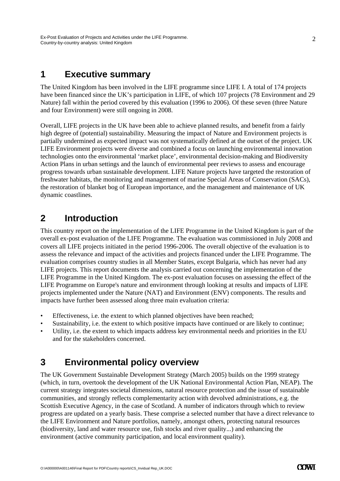### **1 Executive summary**

The United Kingdom has been involved in the LIFE programme since LIFE I. A total of 174 projects have been financed since the UK's participation in LIFE, of which 107 projects (78 Environment and 29 Nature) fall within the period covered by this evaluation (1996 to 2006). Of these seven (three Nature and four Environment) were still ongoing in 2008.

Overall, LIFE projects in the UK have been able to achieve planned results, and benefit from a fairly high degree of (potential) sustainability. Measuring the impact of Nature and Environment projects is partially undermined as expected impact was not systematically defined at the outset of the project. UK LIFE Environment projects were diverse and combined a focus on launching environmental innovation technologies onto the environmental 'market place', environmental decision-making and Biodiversity Action Plans in urban settings and the launch of environmental peer reviews to assess and encourage progress towards urban sustainable development. LIFE Nature projects have targeted the restoration of freshwater habitats, the monitoring and management of marine Special Areas of Conservation (SACs), the restoration of blanket bog of European importance, and the management and maintenance of UK dynamic coastlines.

### **2 Introduction**

This country report on the implementation of the LIFE Programme in the United Kingdom is part of the overall ex-post evaluation of the LIFE Programme. The evaluation was commissioned in July 2008 and covers all LIFE projects initiated in the period 1996-2006. The overall objective of the evaluation is to assess the relevance and impact of the activities and projects financed under the LIFE Programme. The evaluation comprises country studies in all Member States, except Bulgaria, which has never had any LIFE projects. This report documents the analysis carried out concerning the implementation of the LIFE Programme in the United Kingdom. The ex-post evaluation focuses on assessing the effect of the LIFE Programme on Europe's nature and environment through looking at results and impacts of LIFE projects implemented under the Nature (NAT) and Environment (ENV) components. The results and impacts have further been assessed along three main evaluation criteria:

- Effectiveness, i.e. the extent to which planned objectives have been reached;
- Sustainability, i.e. the extent to which positive impacts have continued or are likely to continue;
- Utility, i.e. the extent to which impacts address key environmental needs and priorities in the EU and for the stakeholders concerned.

## **3 Environmental policy overview**

The UK Government Sustainable Development Strategy (March 2005) builds on the 1999 strategy (which, in turn, overtook the development of the UK National Environmental Action Plan, NEAP). The current strategy integrates societal dimensions, natural resource protection and the issue of sustainable communities, and strongly reflects complementarity action with devolved administrations, e.g. the Scottish Executive Agency, in the case of Scotland. A number of indicators through which to review progress are updated on a yearly basis. These comprise a selected number that have a direct relevance to the LIFE Environment and Nature portfolios, namely, amongst others, protecting natural resources (biodiversity, land and water resource use, fish stocks and river quality...) and enhancing the environment (active community participation, and local environment quality).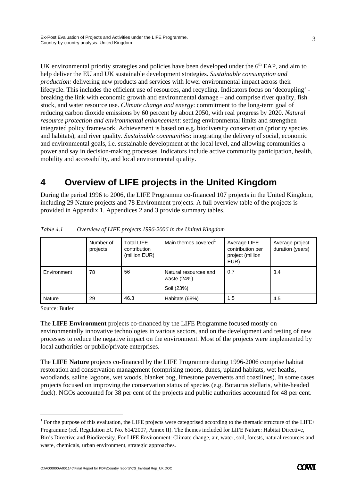mobility and accessibility, and local environmental quality.

UK environmental priority strategies and policies have been developed under the  $6<sup>th</sup>$  EAP, and aim to help deliver the EU and UK sustainable development strategies. *Sustainable consumption and production:* delivering new products and services with lower environmental impact across their lifecycle. This includes the efficient use of resources, and recycling. Indicators focus on 'decoupling' breaking the link with economic growth and environmental damage – and comprise river quality, fish stock, and water resource use. *Climate change and energy*: commitment to the long-term goal of reducing carbon dioxide emissions by 60 percent by about 2050, with real progress by 2020. *Natural resource protection and environmental enhancement*: setting environmental limits and strengthen integrated policy framework. Achievement is based on e.g. biodiversity conservation (priority species and habitats), and river quality. *Sustainable communities*: integrating the delivery of social, economic and environmental goals, i.e. sustainable development at the local level, and allowing communities a power and say in decision-making processes. Indicators include active community participation, health,

## **4 Overview of LIFE projects in the United Kingdom**

During the period 1996 to 2006, the LIFE Programme co-financed 107 projects in the United Kingdom, including 29 Nature projects and 78 Environment projects. A full overview table of the projects is provided in Appendix 1. Appendices 2 and 3 provide summary tables.

|             | Number of<br>projects | <b>Total LIFE</b><br>contribution<br>(million EUR) | Main themes covered <sup>1</sup>                     | Average LIFE<br>contribution per<br>project (million<br>EUR) | Average project<br>duration (years) |
|-------------|-----------------------|----------------------------------------------------|------------------------------------------------------|--------------------------------------------------------------|-------------------------------------|
| Environment | 78                    | 56                                                 | Natural resources and<br>waste $(24%)$<br>Soil (23%) | 0.7                                                          | 3.4                                 |
| Nature      | 29                    | 46.3                                               | Habitats (68%)                                       | 1.5                                                          | 4.5                                 |

*Table 4.1 Overview of LIFE projects 1996-2006 in the United Kingdom* 

Source: Butler

-

The **LIFE Environment** projects co-financed by the LIFE Programme focused mostly on environmentally innovative technologies in various sectors, and on the development and testing of new processes to reduce the negative impact on the environment. Most of the projects were implemented by local authorities or public/private enterprises.

The **LIFE Nature** projects co-financed by the LIFE Programme during 1996-2006 comprise habitat restoration and conservation management (comprising moors, dunes, upland habitats, wet heaths, woodlands, saline lagoons, wet woods, blanket bog, limestone pavements and coastlines). In some cases projects focused on improving the conservation status of species (e.g. Botaurus stellaris, white-headed duck). NGOs accounted for 38 per cent of the projects and public authorities accounted for 48 per cent.

<sup>&</sup>lt;sup>1</sup> For the purpose of this evaluation, the LIFE projects were categorised according to the thematic structure of the LIFE+ Programme (ref. Regulation EC No. 614/2007, Annex II). The themes included for LIFE Nature: Habitat Directive, Birds Directive and Biodiversity. For LIFE Environment: Climate change, air, water, soil, forests, natural resources and waste, chemicals, urban environment, strategic approaches.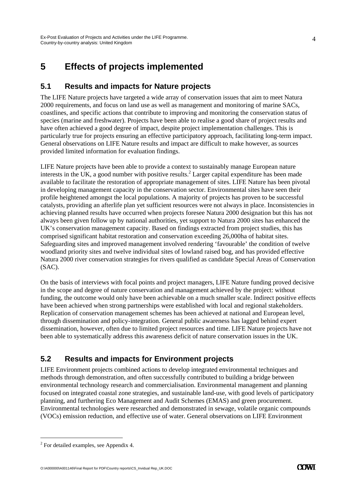## **5 Effects of projects implemented**

### **5.1 Results and impacts for Nature projects**

The LIFE Nature projects have targeted a wide array of conservation issues that aim to meet Natura 2000 requirements, and focus on land use as well as management and monitoring of marine SACs, coastlines, and specific actions that contribute to improving and monitoring the conservation status of species (marine and freshwater). Projects have been able to realise a good share of project results and have often achieved a good degree of impact, despite project implementation challenges. This is particularly true for projects ensuring an effective participatory approach, facilitating long-term impact. General observations on LIFE Nature results and impact are difficult to make however, as sources provided limited information for evaluation findings.

LIFE Nature projects have been able to provide a context to sustainably manage European nature interests in the UK, a good number with positive results.<sup>2</sup> Larger capital expenditure has been made available to facilitate the restoration of appropriate management of sites. LIFE Nature has been pivotal in developing management capacity in the conservation sector. Environmental sites have seen their profile heightened amongst the local populations. A majority of projects has proven to be successful catalysts, providing an afterlife plan yet sufficient resources were not always in place. Inconsistencies in achieving planned results have occurred when projects foresee Natura 2000 designation but this has not always been given follow up by national authorities, yet support to Natura 2000 sites has enhanced the UK's conservation management capacity. Based on findings extracted from project studies, this has comprised significant habitat restoration and conservation exceeding 26,000ha of habitat sites. Safeguarding sites and improved management involved rendering 'favourable' the condition of twelve woodland priority sites and twelve individual sites of lowland raised bog, and has provided effective Natura 2000 river conservation strategies for rivers qualified as candidate Special Areas of Conservation (SAC).

On the basis of interviews with focal points and project managers, LIFE Nature funding proved decisive in the scope and degree of nature conservation and management achieved by the project: without funding, the outcome would only have been achievable on a much smaller scale. Indirect positive effects have been achieved when strong partnerships were established with local and regional stakeholders. Replication of conservation management schemes has been achieved at national and European level, through dissemination and policy-integration. General public awareness has lagged behind expert dissemination, however, often due to limited project resources and time. LIFE Nature projects have not been able to systematically address this awareness deficit of nature conservation issues in the UK.

### **5.2 Results and impacts for Environment projects**

LIFE Environment projects combined actions to develop integrated environmental techniques and methods through demonstration, and often successfully contributed to building a bridge between environmental technology research and commercialisation. Environmental management and planning focused on integrated coastal zone strategies, and sustainable land-use, with good levels of participatory planning, and furthering Eco Management and Audit Schemes (EMAS) and green procurement. Environmental technologies were researched and demonstrated in sewage, volatile organic compounds (VOCs) emission reduction, and effective use of water. General observations on LIFE Environment

-

 $2^2$  For detailed examples, see Appendix 4.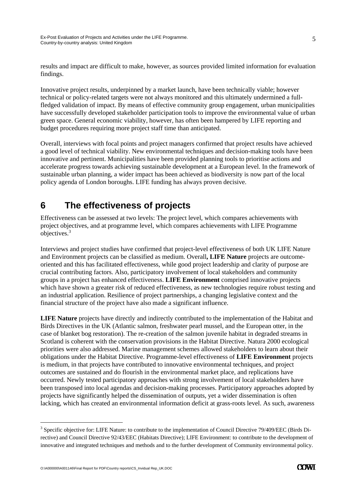results and impact are difficult to make, however, as sources provided limited information for evaluation findings.

Innovative project results, underpinned by a market launch, have been technically viable; however technical or policy-related targets were not always monitored and this ultimately undermined a fullfledged validation of impact. By means of effective community group engagement, urban municipalities have successfully developed stakeholder participation tools to improve the environmental value of urban green space. General economic viability, however, has often been hampered by LIFE reporting and budget procedures requiring more project staff time than anticipated.

Overall, interviews with focal points and project managers confirmed that project results have achieved a good level of technical viability. New environmental techniques and decision-making tools have been innovative and pertinent. Municipalities have been provided planning tools to prioritise actions and accelerate progress towards achieving sustainable development at a European level. In the framework of sustainable urban planning, a wider impact has been achieved as biodiversity is now part of the local policy agenda of London boroughs. LIFE funding has always proven decisive.

## **6 The effectiveness of projects**

Effectiveness can be assessed at two levels: The project level, which compares achievements with project objectives, and at programme level, which compares achievements with LIFE Programme objectives.3

Interviews and project studies have confirmed that project-level effectiveness of both UK LIFE Nature and Environment projects can be classified as medium. Overall**, LIFE Nature** projects are outcomeoriented and this has facilitated effectiveness, while good project leadership and clarity of purpose are crucial contributing factors. Also, participatory involvement of local stakeholders and community groups in a project has enhanced effectiveness. **LIFE Environment** comprised innovative projects which have shown a greater risk of reduced effectiveness, as new technologies require robust testing and an industrial application. Resilience of project partnerships, a changing legislative context and the financial structure of the project have also made a significant influence.

**LIFE Nature** projects have directly and indirectly contributed to the implementation of the Habitat and Birds Directives in the UK (Atlantic salmon, freshwater pearl mussel, and the European otter, in the case of blanket bog restoration). The re-creation of the salmon juvenile habitat in degraded streams in Scotland is coherent with the conservation provisions in the Habitat Directive. Natura 2000 ecological priorities were also addressed. Marine management schemes allowed stakeholders to learn about their obligations under the Habitat Directive. Programme-level effectiveness of **LIFE Environment** projects is medium, in that projects have contributed to innovative environmental techniques, and project outcomes are sustained and do flourish in the environmental market place, and replications have occurred. Newly tested participatory approaches with strong involvement of local stakeholders have been transposed into local agendas and decision-making processes. Participatory approaches adopted by projects have significantly helped the dissemination of outputs, yet a wider dissemination is often lacking, which has created an environmental information deficit at grass-roots level. As such, awareness

-

<sup>&</sup>lt;sup>3</sup> Specific objective for: LIFE Nature: to contribute to the implementation of Council Directive 79/409/EEC (Birds Directive) and Council Directive 92/43/EEC (Habitats Directive); LIFE Environment: to contribute to the development of innovative and integrated techniques and methods and to the further development of Community environmental policy.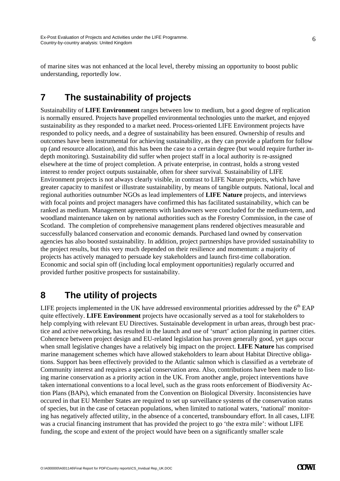of marine sites was not enhanced at the local level, thereby missing an opportunity to boost public understanding, reportedly low.

### **7 The sustainability of projects**

Sustainability of **LIFE Environment** ranges between low to medium, but a good degree of replication is normally ensured. Projects have propelled environmental technologies unto the market, and enjoyed sustainability as they responded to a market need. Process-oriented LIFE Environment projects have responded to policy needs, and a degree of sustainability has been ensured. Ownership of results and outcomes have been instrumental for achieving sustainability, as they can provide a platform for follow up (and resource allocation), and this has been the case to a certain degree (but would require further indepth monitoring). Sustainability did suffer when project staff in a local authority is re-assigned elsewhere at the time of project completion. A private enterprise, in contrast, holds a strong vested interest to render project outputs sustainable, often for sheer survival. Sustainability of LIFE Environment projects is not always clearly visible, in contrast to LIFE Nature projects, which have greater capacity to manifest or illustrate sustainability, by means of tangible outputs. National, local and regional authorities outnumber NGOs as lead implementers of **LIFE Nature** projects, and interviews with focal points and project managers have confirmed this has facilitated sustainability, which can be ranked as medium. Management agreements with landowners were concluded for the medium-term, and woodland maintenance taken on by national authorities such as the Forestry Commission, in the case of Scotland. The completion of comprehensive management plans rendered objectives measurable and successfully balanced conservation and economic demands. Purchased land owned by conservation agencies has also boosted sustainability. In addition, project partnerships have provided sustainability to the project results, but this very much depended on their resilience and momentum: a majority of projects has actively managed to persuade key stakeholders and launch first-time collaboration. Economic and social spin off (including local employment opportunities) regularly occurred and provided further positive prospects for sustainability.

### **8 The utility of projects**

LIFE projects implemented in the UK have addressed environmental priorities addressed by the  $6<sup>th</sup>$  EAP quite effectively. **LIFE Environment** projects have occasionally served as a tool for stakeholders to help complying with relevant EU Directives. Sustainable development in urban areas, through best practice and active networking, has resulted in the launch and use of 'smart' action planning in partner cities. Coherence between project design and EU-related legislation has proven generally good, yet gaps occur when small legislative changes have a relatively big impact on the project. **LIFE Nature** has comprised marine management schemes which have allowed stakeholders to learn about Habitat Directive obligations. Support has been effectively provided to the Atlantic salmon which is classified as a vertebrate of Community interest and requires a special conservation area. Also, contributions have been made to listing marine conservation as a priority action in the UK. From another angle, project interventions have taken international conventions to a local level, such as the grass roots enforcement of Biodiversity Action Plans (BAPs), which emanated from the Convention on Biological Diversity. Inconsistencies have occured in that EU Member States are required to set up surveillance systems of the conservation status of species, but in the case of cetacean populations, when limited to national waters, 'national' monitoring has negatively affected utility, in the absence of a concerted, transboundary effort. In all cases, LIFE was a crucial financing instrument that has provided the project to go 'the extra mile': without LIFE funding, the scope and extent of the project would have been on a significantly smaller scale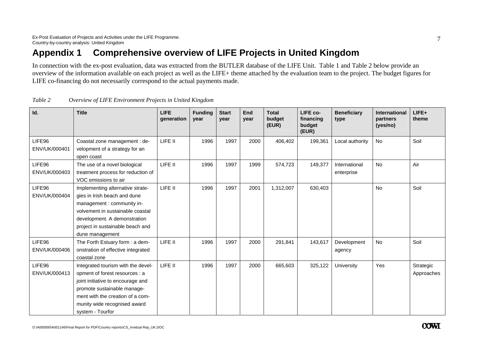## **Appendix 1 Comprehensive overview of LIFE Projects in United Kingdom**

In connection with the ex-post evaluation, data was extracted from the BUTLER database of the LIFE Unit. Table 1 and Table 2 below provide an overview of the information available on each project as well as the LIFE+ theme attached by the evaluation team to the project. The budget figures for LIFE co-financing do not necessarily correspond to the actual payments made.

| Id.                     | <b>Title</b>                                                                                                                                                                                                                     | <b>LIFE</b><br>generation | <b>Funding</b><br>year | <b>Start</b><br>year | <b>End</b><br>year | <b>Total</b><br>budget<br>(EUR) | LIFE co-<br>financing<br>budget<br>(EUR) | <b>Beneficiary</b><br>type  | <b>International</b><br>partners<br>(yes/no) | LIFE+<br>theme          |
|-------------------------|----------------------------------------------------------------------------------------------------------------------------------------------------------------------------------------------------------------------------------|---------------------------|------------------------|----------------------|--------------------|---------------------------------|------------------------------------------|-----------------------------|----------------------------------------------|-------------------------|
| LIFE96<br>ENV/UK/000401 | Coastal zone management : de-<br>velopment of a strategy for an<br>open coast                                                                                                                                                    | LIFE II                   | 1996                   | 1997                 | 2000               | 406,402                         | 199,361                                  | Local authority             | <b>No</b>                                    | Soil                    |
| LIFE96<br>ENV/UK/000403 | The use of a novel biological<br>treatment process for reduction of<br>VOC emissions to air                                                                                                                                      | LIFE II                   | 1996                   | 1997                 | 1999               | 574,723                         | 149,377                                  | International<br>enterprise | <b>No</b>                                    | Air                     |
| LIFE96<br>ENV/UK/000404 | Implementing alternative strate-<br>gies in Irish beach and dune<br>management: community in-<br>volvement in sustainable coastal<br>development. A demonstration<br>project in sustainable beach and<br>dune management         | LIFE II                   | 1996                   | 1997                 | 2001               | 1,312,007                       | 630,403                                  |                             | No                                           | Soil                    |
| LIFE96<br>ENV/UK/000406 | The Forth Estuary form : a dem-<br>onstration of effective integrated<br>coastal zone                                                                                                                                            | LIFE II                   | 1996                   | 1997                 | 2000               | 291,841                         | 143,617                                  | Development<br>agency       | No                                           | Soil                    |
| LIFE96<br>ENV/UK/000413 | Integrated tourism with the devel-<br>opment of forest resources : a<br>joint initiative to encourage and<br>promote sustainable manage-<br>ment with the creation of a com-<br>munity wide recognised award<br>system - Tourfor | LIFE II                   | 1996                   | 1997                 | 2000               | 665,603                         | 325,122                                  | University                  | Yes                                          | Strategic<br>Approaches |

*Table 2 Overview of LIFE Environment Projects in United Kingdom*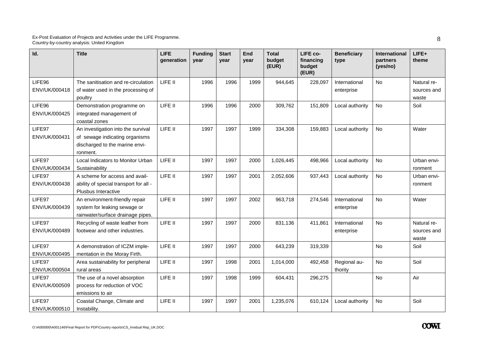| Id.                     | <b>Title</b>                                                                                                       | <b>LIFE</b><br>generation | <b>Funding</b><br>year | <b>Start</b><br>year | End<br>vear | <b>Total</b><br>budget<br>(EUR) | LIFE co-<br>financing<br>budget<br>(EUR) | <b>Beneficiary</b><br>type  | International<br>partners<br>(yes/no) | LIFE+<br>theme                      |
|-------------------------|--------------------------------------------------------------------------------------------------------------------|---------------------------|------------------------|----------------------|-------------|---------------------------------|------------------------------------------|-----------------------------|---------------------------------------|-------------------------------------|
| LIFE96<br>ENV/UK/000418 | The sanitisation and re-circulation<br>of water used in the processing of<br>poultry                               | LIFE II                   | 1996                   | 1996                 | 1999        | 944,645                         | 228,097                                  | International<br>enterprise | No                                    | Natural re-<br>sources and<br>waste |
| LIFE96<br>ENV/UK/000425 | Demonstration programme on<br>integrated management of<br>coastal zones                                            | LIFE II                   | 1996                   | 1996                 | 2000        | 309,762                         | 151,809                                  | Local authority             | <b>No</b>                             | Soil                                |
| LIFE97<br>ENV/UK/000431 | An investigation into the survival<br>of sewage indicating organisms<br>discharged to the marine envi-<br>ronment. | LIFE II                   | 1997                   | 1997                 | 1999        | 334,308                         | 159,883                                  | Local authority             | <b>No</b>                             | Water                               |
| LIFE97<br>ENV/UK/000434 | Local Indicators to Monitor Urban<br>Sustainability                                                                | LIFE II                   | 1997                   | 1997                 | 2000        | 1,026,445                       | 498,966                                  | Local authority             | <b>No</b>                             | Urban envi-<br>ronment              |
| LIFE97<br>ENV/UK/000438 | A scheme for access and avail-<br>ability of special transport for all -<br>Plusbus Interactive                    | LIFE II                   | 1997                   | 1997                 | 2001        | 2,052,606                       | 937,443                                  | Local authority             | <b>No</b>                             | Urban envi-<br>ronment              |
| LIFE97<br>ENV/UK/000439 | An environment-friendly repair<br>system for leaking sewage or<br>rainwater/surface drainage pipes.                | LIFE II                   | 1997                   | 1997                 | 2002        | 963,718                         | 274,546                                  | International<br>enterprise | <b>No</b>                             | Water                               |
| LIFE97<br>ENV/UK/000489 | Recycling of waste leather from<br>footwear and other industries.                                                  | LIFE II                   | 1997                   | 1997                 | 2000        | 831,136                         | 411,861                                  | International<br>enterprise | <b>No</b>                             | Natural re-<br>sources and<br>waste |
| LIFE97<br>ENV/UK/000495 | A demonstration of ICZM imple-<br>mentation in the Moray Firth.                                                    | LIFE II                   | 1997                   | 1997                 | 2000        | 643,239                         | 319,339                                  |                             | <b>No</b>                             | Soil                                |
| LIFE97<br>ENV/UK/000504 | Area sustainability for peripheral<br>rural areas                                                                  | LIFE II                   | 1997                   | 1998                 | 2001        | 1,014,000                       | 492,458                                  | Regional au-<br>thority     | <b>No</b>                             | Soil                                |
| LIFE97<br>ENV/UK/000509 | The use of a novel absorption<br>process for reduction of VOC<br>emissions to air                                  | LIFE II                   | 1997                   | 1998                 | 1999        | 604,431                         | 296,275                                  |                             | <b>No</b>                             | Air                                 |
| LIFE97<br>ENV/UK/000510 | Coastal Change, Climate and<br>Instability.                                                                        | LIFE II                   | 1997                   | 1997                 | 2001        | 1,235,076                       | 610,124                                  | Local authority             | No.                                   | Soil                                |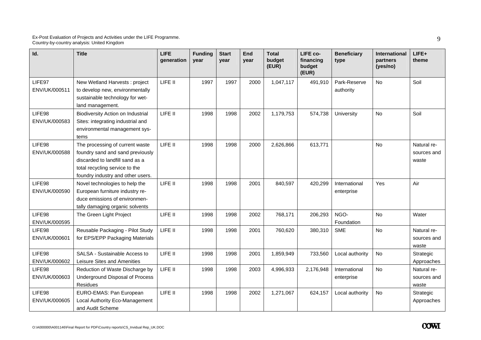| Id.                     | <b>Title</b>                                                                                                                                                                  | LIFE<br>qeneration | <b>Funding</b><br>vear | <b>Start</b><br>year | End<br>year | <b>Total</b><br>budget<br>(EUR) | LIFE co-<br>financing<br>budget<br>(EUR) | <b>Beneficiary</b><br>type  | International<br>partners<br>(yes/no) | $LIFE+$<br>theme                    |
|-------------------------|-------------------------------------------------------------------------------------------------------------------------------------------------------------------------------|--------------------|------------------------|----------------------|-------------|---------------------------------|------------------------------------------|-----------------------------|---------------------------------------|-------------------------------------|
| LIFE97<br>ENV/UK/000511 | New Wetland Harvests: project<br>to develop new, environmentally<br>sustainable technology for wet-<br>land management.                                                       | LIFE II            | 1997                   | 1997                 | 2000        | 1,047,117                       | 491,910                                  | Park-Reserve<br>authority   | No                                    | Soil                                |
| LIFE98<br>ENV/UK/000583 | <b>Biodiversity Action on Industrial</b><br>Sites: integrating industrial and<br>environmental management sys-<br>tems                                                        | LIFE II            | 1998                   | 1998                 | 2002        | 1,179,753                       | 574,738                                  | University                  | <b>No</b>                             | Soil                                |
| LIFE98<br>ENV/UK/000588 | The processing of current waste<br>foundry sand and sand previously<br>discarded to landfill sand as a<br>total recycling service to the<br>foundry industry and other users. | LIFE II            | 1998                   | 1998                 | 2000        | 2,626,866                       | 613,771                                  |                             | <b>No</b>                             | Natural re-<br>sources and<br>waste |
| LIFE98<br>ENV/UK/000590 | Novel technologies to help the<br>European furniture industry re-<br>duce emissions of environmen-<br>tally damaging organic solvents                                         | LIFE II            | 1998                   | 1998                 | 2001        | 840,597                         | 420,299                                  | International<br>enterprise | Yes                                   | Air                                 |
| LIFE98<br>ENV/UK/000595 | The Green Light Project                                                                                                                                                       | LIFE II            | 1998                   | 1998                 | 2002        | 768,171                         | 206,293                                  | NGO-<br>Foundation          | <b>No</b>                             | Water                               |
| LIFE98<br>ENV/UK/000601 | Reusable Packaging - Pilot Study<br>for EPS/EPP Packaging Materials                                                                                                           | LIFE II            | 1998                   | 1998                 | 2001        | 760,620                         | 380,310                                  | <b>SME</b>                  | No                                    | Natural re-<br>sources and<br>waste |
| LIFE98<br>ENV/UK/000602 | SALSA - Sustainable Access to<br>Leisure Sites and Amenities                                                                                                                  | LIFE II            | 1998                   | 1998                 | 2001        | 1,859,949                       | 733,560                                  | Local authority             | No                                    | Strategic<br>Approaches             |
| LIFE98<br>ENV/UK/000603 | Reduction of Waste Discharge by<br>Underground Disposal of Process<br><b>Residues</b>                                                                                         | LIFE II            | 1998                   | 1998                 | 2003        | 4,996,933                       | 2,176,948                                | International<br>enterprise | <b>No</b>                             | Natural re-<br>sources and<br>waste |
| LIFE98<br>ENV/UK/000605 | EURO-EMAS: Pan European<br>Local Authority Eco-Management<br>and Audit Scheme                                                                                                 | LIFE II            | 1998                   | 1998                 | 2002        | 1,271,067                       | 624,157                                  | Local authority             | No                                    | Strategic<br>Approaches             |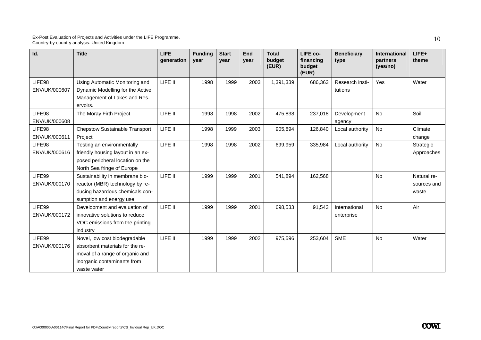| Id.                     | <b>Title</b>                                                                                                                                      | <b>LIFE</b><br>generation | <b>Funding</b><br>year | <b>Start</b><br>year | End<br>year | <b>Total</b><br>budget<br>(EUR) | LIFE co-<br>financing<br>budget<br>(EUR) | <b>Beneficiary</b><br>type  | <b>International</b><br>partners<br>(yes/no) | LIFE+<br>theme                      |
|-------------------------|---------------------------------------------------------------------------------------------------------------------------------------------------|---------------------------|------------------------|----------------------|-------------|---------------------------------|------------------------------------------|-----------------------------|----------------------------------------------|-------------------------------------|
| LIFE98<br>ENV/UK/000607 | Using Automatic Monitoring and<br>Dynamic Modelling for the Active<br>Management of Lakes and Res-<br>ervoirs.                                    | LIFE II                   | 1998                   | 1999                 | 2003        | 1,391,339                       | 686,363                                  | Research insti-<br>tutions  | Yes                                          | Water                               |
| LIFE98<br>ENV/UK/000608 | The Moray Firth Project                                                                                                                           | LIFE II                   | 1998                   | 1998                 | 2002        | 475,838                         | 237,018                                  | Development<br>agency       | No                                           | Soil                                |
| LIFE98<br>ENV/UK/000611 | <b>Chepstow Sustainable Transport</b><br>Project                                                                                                  | LIFE II                   | 1998                   | 1999                 | 2003        | 905,894                         | 126,840                                  | Local authority             | <b>No</b>                                    | Climate<br>change                   |
| LIFE98<br>ENV/UK/000616 | Testing an environmentally<br>friendly housing layout in an ex-<br>posed peripheral location on the<br>North Sea fringe of Europe                 | LIFE II                   | 1998                   | 1998                 | 2002        | 699,959                         | 335,984                                  | Local authority             | <b>No</b>                                    | Strategic<br>Approaches             |
| LIFE99<br>ENV/UK/000170 | Sustainability in membrane bio-<br>reactor (MBR) technology by re-<br>ducing hazardous chemicals con-<br>sumption and energy use                  | LIFE II                   | 1999                   | 1999                 | 2001        | 541,894                         | 162,568                                  |                             | <b>No</b>                                    | Natural re-<br>sources and<br>waste |
| LIFE99<br>ENV/UK/000172 | Development and evaluation of<br>innovative solutions to reduce<br>VOC emissions from the printing<br>industry                                    | LIFE II                   | 1999                   | 1999                 | 2001        | 698,533                         | 91,543                                   | International<br>enterprise | <b>No</b>                                    | Air                                 |
| LIFE99<br>ENV/UK/000176 | Novel, low cost biodegradable<br>absorbent materials for the re-<br>moval of a range of organic and<br>inorganic contaminants from<br>waste water | LIFE II                   | 1999                   | 1999                 | 2002        | 975,596                         | 253,604                                  | <b>SME</b>                  | No                                           | Water                               |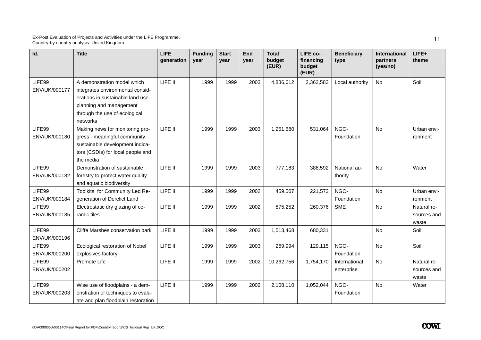| Id.                     | <b>Title</b>                                                                                                                                                                | <b>LIFE</b><br>generation | <b>Funding</b><br>year | <b>Start</b><br>vear | End<br>year | <b>Total</b><br>budget<br>(EUR) | LIFE co-<br>financing<br>budget<br>(EUR) | <b>Beneficiary</b><br>type  | International<br>partners<br>(yes/no) | LIFE+<br>theme                      |
|-------------------------|-----------------------------------------------------------------------------------------------------------------------------------------------------------------------------|---------------------------|------------------------|----------------------|-------------|---------------------------------|------------------------------------------|-----------------------------|---------------------------------------|-------------------------------------|
| LIFE99<br>ENV/UK/000177 | A demonstration model which<br>integrates environmental consid-<br>erations in sustainable land use<br>planning and management<br>through the use of ecological<br>networks | LIFE II                   | 1999                   | 1999                 | 2003        | 4,836,612                       | 2,362,583                                | Local authority             | <b>No</b>                             | Soil                                |
| LIFE99<br>ENV/UK/000180 | Making news for monitoring pro-<br>gress - meaningful community<br>sustainable development indica-<br>tors (CSDIs) for local people and<br>the media                        | LIFE II                   | 1999                   | 1999                 | 2003        | 1,251,680                       | 531,064                                  | NGO-<br>Foundation          | <b>No</b>                             | Urban envi-<br>ronment              |
| LIFE99<br>ENV/UK/000182 | Demonstration of sustainable<br>forestry to protect water quality<br>and aquatic biodiversity                                                                               | LIFE II                   | 1999                   | 1999                 | 2003        | 777,183                         | 388,592                                  | National au-<br>thority     | <b>No</b>                             | Water                               |
| LIFE99<br>ENV/UK/000184 | Toolkits for Community Led Re-<br>generation of Derelict Land                                                                                                               | LIFE II                   | 1999                   | 1999                 | 2002        | 459,507                         | 221,573                                  | NGO-<br>Foundation          | <b>No</b>                             | Urban envi-<br>ronment              |
| LIFE99<br>ENV/UK/000185 | Electrostatic dry glazing of ce-<br>ramic tiles                                                                                                                             | LIFE II                   | 1999                   | 1999                 | 2002        | 875,252                         | 260,376                                  | <b>SME</b>                  | No                                    | Natural re-<br>sources and<br>waste |
| LIFE99<br>ENV/UK/000196 | Cliffe Marshes conservation park                                                                                                                                            | LIFE II                   | 1999                   | 1999                 | 2003        | 1,513,468                       | 680,331                                  |                             | No                                    | Soil                                |
| LIFE99<br>ENV/UK/000200 | Ecological restoration of Nobel<br>explosives factory                                                                                                                       | LIFE II                   | 1999                   | 1999                 | 2003        | 269,994                         | 129,115                                  | NGO-<br>Foundation          | No                                    | Soil                                |
| LIFE99<br>ENV/UK/000202 | Promote Life                                                                                                                                                                | LIFE II                   | 1999                   | 1999                 | 2002        | 10,262,756                      | 1,754,170                                | International<br>enterprise | No                                    | Natural re-<br>sources and<br>waste |
| LIFE99<br>ENV/UK/000203 | Wise use of floodplains - a dem-<br>onstration of techniques to evalu-<br>ate and plan floodplain restoration                                                               | LIFE II                   | 1999                   | 1999                 | 2002        | 2,108,110                       | 1,052,044                                | NGO-<br>Foundation          | No                                    | Water                               |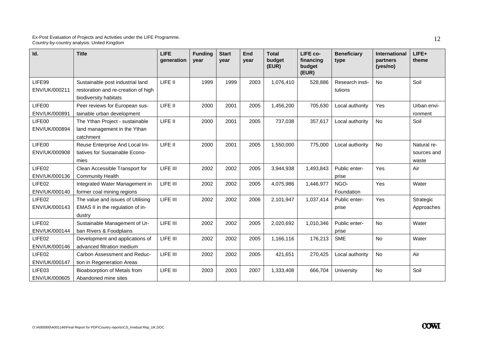| Id.                                 | <b>Title</b>                                                                                     | <b>LIFE</b><br>generation | <b>Funding</b><br>year | <b>Start</b><br>year | End<br>year | <b>Total</b><br>budget<br>(EUR) | LIFE co-<br>financing<br>budget<br>(EUR) | <b>Beneficiary</b><br>type | <b>International</b><br>partners<br>(yes/no) | LIFE+<br>theme                      |
|-------------------------------------|--------------------------------------------------------------------------------------------------|---------------------------|------------------------|----------------------|-------------|---------------------------------|------------------------------------------|----------------------------|----------------------------------------------|-------------------------------------|
| LIFE99<br>ENV/UK/000211             | Sustainable post industrial land<br>restoration and re-creation of high<br>biodiversity habitats | LIFE II                   | 1999                   | 1999                 | 2003        | 1,076,410                       | 528,886                                  | Research insti-<br>tutions | No                                           | Soil                                |
| LIFE00<br>ENV/UK/000891             | Peer reviews for European sus-<br>tainable urban development                                     | LIFE II                   | 2000                   | 2001                 | 2005        | 1,456,200                       | 705,630                                  | Local authority            | Yes                                          | Urban envi-<br>ronment              |
| LIFE00<br>ENV/UK/000894             | The Ythan Project - sustainable<br>land management in the Ythan<br>catchment                     | LIFE II                   | 2000                   | 2001                 | 2005        | 737,038                         | 357,617                                  | Local authority            | No                                           | Soil                                |
| LIFE00<br>ENV/UK/000908             | Reuse Enterprise And Local Ini-<br>tiatives for Sustainable Econo-<br>mies                       | LIFE II                   | 2000                   | 2001                 | 2005        | 1,550,000                       | 775,000                                  | Local authority            | <b>No</b>                                    | Natural re-<br>sources and<br>waste |
| LIFE02<br>ENV/UK/000136             | Clean Accessible Transport for<br><b>Community Health</b>                                        | LIFE III                  | 2002                   | 2002                 | 2005        | 3,944,938                       | 1,493,843                                | Public enter-<br>prise     | Yes                                          | Air                                 |
| LIFE <sub>02</sub><br>ENV/UK/000140 | Integrated Water Management in<br>former coal mining regions                                     | LIFE III                  | 2002                   | 2002                 | 2005        | 4,075,986                       | 1,446,977                                | NGO-<br>Foundation         | Yes                                          | Water                               |
| LIFE02<br>ENV/UK/000143             | The value and issues of Utilising<br>EMAS II in the regulation of in-<br>dustry                  | LIFE III                  | 2002                   | 2002                 | 2006        | 2,101,947                       | 1,037,414                                | Public enter-<br>prise     | Yes                                          | Strategic<br>Approaches             |
| LIFE02<br>ENV/UK/000144             | Sustainable Management of Ur-<br>ban Rivers & Foodplains                                         | LIFE III                  | 2002                   | 2002                 | 2005        | 2,020,692                       | 1,010,346                                | Public enter-<br>prise     | <b>No</b>                                    | Water                               |
| LIFE <sub>02</sub><br>ENV/UK/000146 | Development and applications of<br>advanced filtration medium                                    | LIFE III                  | 2002                   | 2002                 | 2005        | 1,166,116                       | 176,213                                  | <b>SME</b>                 | <b>No</b>                                    | Water                               |
| LIFE <sub>02</sub><br>ENV/UK/000147 | Carbon Assessment and Reduc-<br>tion in Regeneration Areas                                       | LIFE III                  | 2002                   | 2002                 | 2005        | 421,651                         | 270,425                                  | Local authority            | No                                           | Air                                 |
| LIFE03<br>ENV/UK/000605             | Bioabsorption of Metals from<br>Abandoned mine sites                                             | LIFE III                  | 2003                   | 2003                 | 2007        | 1,333,408                       | 666,704                                  | University                 | <b>No</b>                                    | Soil                                |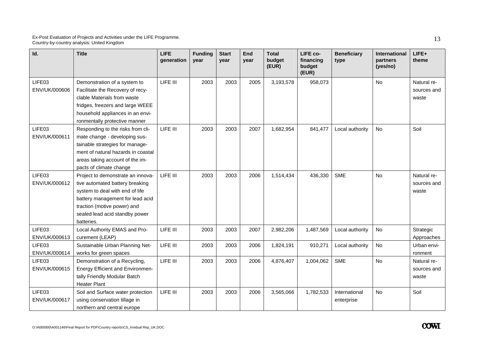| Id.                     | <b>Title</b>                                                                                                                                                                                                               | <b>LIFE</b><br>generation | <b>Funding</b><br>year | <b>Start</b><br>vear | End<br>year | <b>Total</b><br>budget<br>(EUR) | LIFE co-<br>financing<br>budget<br>(EUR) | <b>Beneficiary</b><br>type  | International<br>partners<br>(yes/no) | LIFE+<br>theme                      |
|-------------------------|----------------------------------------------------------------------------------------------------------------------------------------------------------------------------------------------------------------------------|---------------------------|------------------------|----------------------|-------------|---------------------------------|------------------------------------------|-----------------------------|---------------------------------------|-------------------------------------|
| LIFE03<br>ENV/UK/000606 | Demonstration of a system to<br>Facilitate the Recovery of recy-<br>clable Materials from waste<br>fridges, freezers and large WEEE<br>household appliances in an envi-<br>ronmentally protective manner                   | LIFE III                  | 2003                   | 2003                 | 2005        | 3,193,578                       | 958,073                                  |                             | <b>No</b>                             | Natural re-<br>sources and<br>waste |
| LIFE03<br>ENV/UK/000611 | Responding to the risks from cli-<br>mate change - developing sus-<br>tainable strategies for manage-<br>ment of natural hazards in coastal<br>areas taking account of the im-<br>pacts of climate change                  | LIFE III                  | 2003                   | 2003                 | 2007        | 1,682,954                       | 841,477                                  | Local authority             | No                                    | Soil                                |
| LIFE03<br>ENV/UK/000612 | Project to demonstrate an innova-<br>tive automated battery breaking<br>system to deal with end of life<br>battery management for lead acid<br>traction (motive power) and<br>sealed lead acid standby power<br>batteries. | LIFE III                  | 2003                   | 2003                 | 2006        | 1,514,434                       | 436,330                                  | <b>SME</b>                  | No                                    | Natural re-<br>sources and<br>waste |
| LIFE03<br>ENV/UK/000613 | Local Authority EMAS and Pro-<br>curement (LEAP)                                                                                                                                                                           | LIFE III                  | 2003                   | 2003                 | 2007        | 2,982,206                       | 1,487,569                                | Local authority             | No                                    | Strategic<br>Approaches             |
| LIFE03<br>ENV/UK/000614 | Sustainable Urban Planning Net-<br>works for green spaces                                                                                                                                                                  | LIFE III                  | 2003                   | 2003                 | 2006        | 1,824,191                       | 910,271                                  | Local authority             | No                                    | Urban envi-<br>ronment              |
| LIFE03<br>ENV/UK/000615 | Demonstration of a Recycling,<br><b>Energy Efficient and Environmen-</b><br>tally Friendly Modular Batch<br><b>Heater Plant</b>                                                                                            | LIFE III                  | 2003                   | 2003                 | 2006        | 4,876,407                       | 1,004,062                                | <b>SME</b>                  | <b>No</b>                             | Natural re-<br>sources and<br>waste |
| LIFE03<br>ENV/UK/000617 | Soil and Surface water protection<br>using conservation tillage in<br>northern and central europe                                                                                                                          | LIFE III                  | 2003                   | 2003                 | 2006        | 3,565,066                       | 1,782,533                                | International<br>enterprise | No                                    | Soil                                |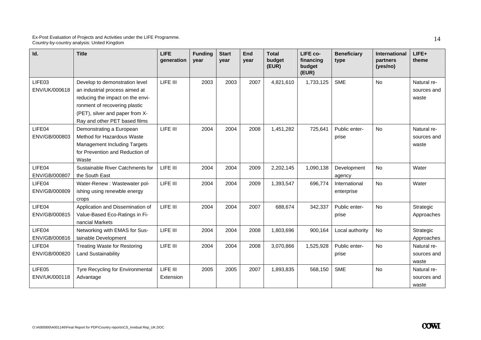| Id.                     | <b>Title</b>                                                                                                                                                                                              | <b>LIFE</b><br>generation | <b>Funding</b><br>vear | <b>Start</b><br>vear | End<br>year | <b>Total</b><br>budget<br>(EUR) | LIFE co-<br>financing<br>budget<br>(EUR) | <b>Beneficiary</b><br>type  | <b>International</b><br>partners<br>(yes/no) | $LIFE+$<br>theme                    |
|-------------------------|-----------------------------------------------------------------------------------------------------------------------------------------------------------------------------------------------------------|---------------------------|------------------------|----------------------|-------------|---------------------------------|------------------------------------------|-----------------------------|----------------------------------------------|-------------------------------------|
| LIFE03<br>ENV/UK/000618 | Develop to demonstration level<br>an industrial process aimed at<br>reducing the impact on the envi-<br>ronment of recovering plastic<br>(PET), silver and paper from X-<br>Ray and other PET based films | LIFE III                  | 2003                   | 2003                 | 2007        | 4,821,610                       | 1,733,125                                | <b>SME</b>                  | <b>No</b>                                    | Natural re-<br>sources and<br>waste |
| LIFE04<br>ENV/GB/000803 | Demonstrating a European<br>Method for Hazardous Waste<br><b>Management Including Targets</b><br>for Prevention and Reduction of<br>Waste                                                                 | LIFE III                  | 2004                   | 2004                 | 2008        | 1,451,282                       | 725,641                                  | Public enter-<br>prise      | <b>No</b>                                    | Natural re-<br>sources and<br>waste |
| LIFE04<br>ENV/GB/000807 | Sustainable River Catchments for<br>the South East                                                                                                                                                        | LIFE III                  | 2004                   | 2004                 | 2009        | 2,202,145                       | 1,090,138                                | Development<br>agency       | No                                           | Water                               |
| LIFE04<br>ENV/GB/000809 | Water-Renew : Wastewater pol-<br>ishing using renewble energy<br>crops                                                                                                                                    | LIFE III                  | 2004                   | 2004                 | 2009        | 1,393,547                       | 696,774                                  | International<br>enterprise | No                                           | Water                               |
| LIFE04<br>ENV/GB/000815 | Application and Dissemination of<br>Value-Based Eco-Ratings in Fi-<br>nancial Markets                                                                                                                     | LIFE III                  | 2004                   | 2004                 | 2007        | 688,674                         | 342,337                                  | Public enter-<br>prise      | <b>No</b>                                    | Strategic<br>Approaches             |
| LIFE04<br>ENV/GB/000816 | Networking with EMAS for Sus-<br>tainable Development                                                                                                                                                     | LIFE III                  | 2004                   | 2004                 | 2008        | 1,803,696                       | 900,164                                  | Local authority             | <b>No</b>                                    | Strategic<br>Approaches             |
| LIFE04<br>ENV/GB/000820 | <b>Treating Waste for Restoring</b><br><b>Land Sustainability</b>                                                                                                                                         | LIFE III                  | 2004                   | 2004                 | 2008        | 3,070,866                       | 1,525,928                                | Public enter-<br>prise      | <b>No</b>                                    | Natural re-<br>sources and<br>waste |
| LIFE05<br>ENV/UK/000118 | Tyre Recycling for Environmental<br>Advantage                                                                                                                                                             | LIFE III<br>Extension     | 2005                   | 2005                 | 2007        | 1,893,835                       | 568,150                                  | <b>SME</b>                  | No                                           | Natural re-<br>sources and<br>waste |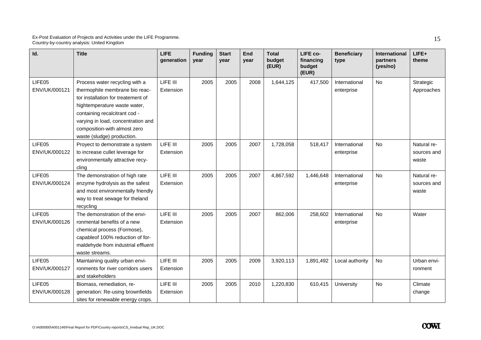| Id.                     | <b>Title</b>                                                                                                                                                                                                                                                                | <b>LIFE</b><br>generation | <b>Funding</b><br>year | <b>Start</b><br>year | <b>End</b><br>year | <b>Total</b><br>budget<br>(EUR) | LIFE co-<br>financing<br>budget<br>(EUR) | <b>Beneficiary</b><br>type  | International<br>partners<br>(yes/no) | LIFE+<br>theme                      |
|-------------------------|-----------------------------------------------------------------------------------------------------------------------------------------------------------------------------------------------------------------------------------------------------------------------------|---------------------------|------------------------|----------------------|--------------------|---------------------------------|------------------------------------------|-----------------------------|---------------------------------------|-------------------------------------|
| LIFE05<br>ENV/UK/000121 | Process water recycling with a<br>thermophile membrane bio reac-<br>tor installation for treatement of<br>hightemperature waste water,<br>containing recalcitrant cod -<br>varying in load, concentration and<br>composition-with almost zero<br>waste (sludge) production. | LIFE III<br>Extension     | 2005                   | 2005                 | 2008               | 1,644,125                       | 417,500                                  | International<br>enterprise | No                                    | Strategic<br>Approaches             |
| LIFE05<br>ENV/UK/000122 | Proyect to demonstrate a system<br>to increase cullet leverage for<br>environmentally attractive recy-<br>cling                                                                                                                                                             | LIFE III<br>Extension     | 2005                   | 2005                 | 2007               | 1,728,058                       | 518,417                                  | International<br>enterprise | <b>No</b>                             | Natural re-<br>sources and<br>waste |
| LIFE05<br>ENV/UK/000124 | The demonstration of high rate<br>enzyme hydrolysis as the safest<br>and most environmentally friendly<br>way to treat sewage for theland<br>recycling                                                                                                                      | LIFE III<br>Extension     | 2005                   | 2005                 | 2007               | 4,867,592                       | 1,446,648                                | International<br>enterprise | No                                    | Natural re-<br>sources and<br>waste |
| LIFE05<br>ENV/UK/000126 | The demonstration of the envi-<br>ronmental benefits of a new<br>chemical process (Formose),<br>capableof 100% reduction of for-<br>maldehyde from industrial effluent<br>waste streams.                                                                                    | LIFE III<br>Extension     | 2005                   | 2005                 | 2007               | 862,006                         | 258,602                                  | International<br>enterprise | No                                    | Water                               |
| LIFE05<br>ENV/UK/000127 | Maintaining quality urban envi-<br>ronments for river corridors users<br>and stakeholders                                                                                                                                                                                   | LIFE III<br>Extension     | 2005                   | 2005                 | 2009               | 3,920,113                       | 1,891,492                                | Local authority             | <b>No</b>                             | Urban envi-<br>ronment              |
| LIFE05<br>ENV/UK/000128 | Biomass, remediation, re-<br>generation: Re-using brownfields<br>sites for renewable energy crops.                                                                                                                                                                          | LIFE III<br>Extension     | 2005                   | 2005                 | 2010               | 1,220,830                       | 610,415                                  | University                  | No                                    | Climate<br>change                   |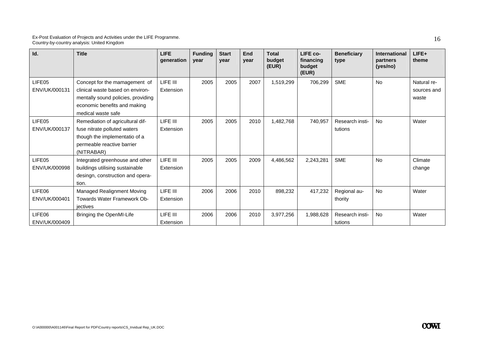| Id.                     | <b>Title</b>                                                                                                                                                  | <b>LIFE</b><br>qeneration | <b>Funding</b><br>year | <b>Start</b><br>vear | End<br>year | <b>Total</b><br>budget<br>(EUR) | LIFE co-<br>financing<br>budget<br>(EUR) | <b>Beneficiary</b><br>type | <b>International</b><br>partners<br>(yes/no) | LIFE+<br>theme                      |
|-------------------------|---------------------------------------------------------------------------------------------------------------------------------------------------------------|---------------------------|------------------------|----------------------|-------------|---------------------------------|------------------------------------------|----------------------------|----------------------------------------------|-------------------------------------|
| LIFE05<br>ENV/UK/000131 | Concept for the mamagement of<br>clinical waste based on environ-<br>mentally sound policies, providing<br>economic benefits and making<br>medical waste safe | LIFE III<br>Extension     | 2005                   | 2005                 | 2007        | 1,519,299                       | 706,299                                  | <b>SME</b>                 | <b>No</b>                                    | Natural re-<br>sources and<br>waste |
| LIFE05<br>ENV/UK/000137 | Remediation of agricultural dif-<br>fuse nitrate polluted waters<br>though the implementatio of a<br>permeable reactive barrier<br>(NITRABAR)                 | LIFE III<br>Extension     | 2005                   | 2005                 | 2010        | 1,482,768                       | 740.957                                  | Research insti-<br>tutions | No                                           | Water                               |
| LIFE05<br>ENV/UK/000998 | Integrated greenhouse and other<br>buildings utilising sustainable<br>desingn, construction and opera-<br>tion.                                               | LIFE III<br>Extension     | 2005                   | 2005                 | 2009        | 4,486,562                       | 2,243,281                                | <b>SME</b>                 | <b>No</b>                                    | Climate<br>change                   |
| LIFE06<br>ENV/UK/000401 | Managed Realignment Moving<br>Towards Water Framework Ob-<br>jectives                                                                                         | LIFE III<br>Extension     | 2006                   | 2006                 | 2010        | 898,232                         | 417,232                                  | Regional au-<br>thority    | <b>No</b>                                    | Water                               |
| LIFE06<br>ENV/UK/000409 | Bringing the OpenMI-Life                                                                                                                                      | LIFE III<br>Extension     | 2006                   | 2006                 | 2010        | 3,977,256                       | 1,988,628                                | Research insti-<br>tutions | <b>No</b>                                    | Water                               |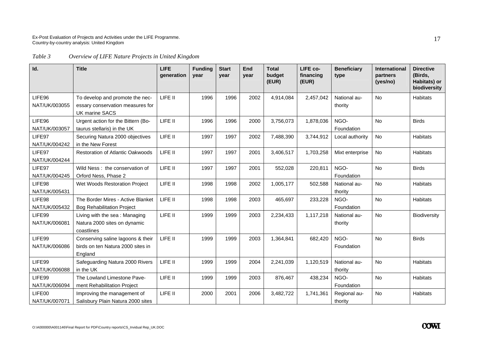*Table 3 Overview of LIFE Nature Projects in United Kingdom* 

| Id.           | <b>Title</b>                                              | <b>LIFE</b><br>generation | <b>Funding</b><br>vear | <b>Start</b><br>vear | End<br>vear | <b>Total</b><br>budget<br>(EUR) | LIFE co-<br>financing<br>(EUR) | <b>Beneficiary</b><br>type | <b>International</b><br>partners<br>(yes/no) | <b>Directive</b><br>(Birds,<br>Habitats) or<br>biodiversity |
|---------------|-----------------------------------------------------------|---------------------------|------------------------|----------------------|-------------|---------------------------------|--------------------------------|----------------------------|----------------------------------------------|-------------------------------------------------------------|
| LIFE96        | To develop and promote the nec-                           | LIFE II                   | 1996                   | 1996                 | 2002        | 4,914,084                       | 2,457,042                      | National au-               | <b>No</b>                                    | <b>Habitats</b>                                             |
| NAT/UK/003055 | essary conservation measures for<br><b>UK marine SACS</b> |                           |                        |                      |             |                                 |                                | thority                    |                                              |                                                             |
| LIFE96        | Urgent action for the Bittern (Bo-                        | LIFE II                   | 1996                   | 1996                 | 2000        | 3,756,073                       | 1,878,036                      | NGO-                       | No                                           | <b>Birds</b>                                                |
| NAT/UK/003057 | taurus stellaris) in the UK                               |                           |                        |                      |             |                                 |                                | Foundation                 |                                              |                                                             |
| LIFE97        | Securing Natura 2000 objectives                           | LIFE II                   | 1997                   | 1997                 | 2002        | 7,488,390                       | 3,744,912                      | Local authority            | <b>No</b>                                    | <b>Habitats</b>                                             |
| NAT/UK/004242 | in the New Forest                                         |                           |                        |                      |             |                                 |                                |                            |                                              |                                                             |
| LIFE97        | <b>Restoration of Atlantic Oakwoods</b>                   | LIFE II                   | 1997                   | 1997                 | 2001        | 3,406,517                       | 1,703,258                      | Mixt enterprise            | <b>No</b>                                    | Habitats                                                    |
| NAT/UK/004244 |                                                           |                           |                        |                      |             |                                 |                                |                            |                                              |                                                             |
| LIFE97        | Wild Ness: the conservation of                            | LIFE II                   | 1997                   | 1997                 | 2001        | 552,028                         | 220,811                        | NGO-                       | <b>No</b>                                    | <b>Birds</b>                                                |
| NAT/UK/004245 | Orford Ness, Phase 2                                      |                           |                        |                      |             |                                 |                                | Foundation                 |                                              |                                                             |
| LIFE98        | Wet Woods Restoration Project                             | LIFE II                   | 1998                   | 1998                 | 2002        | 1,005,177                       | 502,588                        | National au-               | <b>No</b>                                    | <b>Habitats</b>                                             |
| NAT/UK/005431 |                                                           |                           |                        |                      |             |                                 |                                | thority                    |                                              |                                                             |
| LIFE98        | The Border Mires - Active Blanket                         | LIFE II                   | 1998                   | 1998                 | 2003        | 465,697                         | 233,228                        | NGO-                       | <b>No</b>                                    | Habitats                                                    |
| NAT/UK/005432 | <b>Bog Rehabilitation Project</b>                         |                           |                        |                      |             |                                 |                                | Foundation                 |                                              |                                                             |
| LIFE99        | Living with the sea: Managing                             | LIFE II                   | 1999                   | 1999                 | 2003        | 2,234,433                       | 1,117,218                      | National au-               | <b>No</b>                                    | Biodiversity                                                |
| NAT/UK/006081 | Natura 2000 sites on dynamic                              |                           |                        |                      |             |                                 |                                | thority                    |                                              |                                                             |
|               | coastlines                                                |                           |                        |                      |             |                                 |                                |                            |                                              |                                                             |
| LIFE99        | Conserving saline lagoons & their                         | LIFE II                   | 1999                   | 1999                 | 2003        | 1,364,841                       | 682,420                        | NGO-                       | <b>No</b>                                    | <b>Birds</b>                                                |
| NAT/UK/006086 | birds on ten Natura 2000 sites in                         |                           |                        |                      |             |                                 |                                | Foundation                 |                                              |                                                             |
|               | England                                                   |                           |                        |                      |             |                                 |                                |                            |                                              |                                                             |
| LIFE99        | Safeguarding Natura 2000 Rivers                           | LIFE II                   | 1999                   | 1999                 | 2004        | 2,241,039                       | 1,120,519                      | National au-               | <b>No</b>                                    | <b>Habitats</b>                                             |
| NAT/UK/006088 | in the UK                                                 |                           |                        |                      |             |                                 |                                | thority                    |                                              |                                                             |
| LIFE99        | The Lowland Limestone Pave-                               | LIFE II                   | 1999                   | 1999                 | 2003        | 876,467                         | 438,234                        | NGO-                       | <b>No</b>                                    | Habitats                                                    |
| NAT/UK/006094 | ment Rehabilitation Project                               |                           |                        |                      |             |                                 |                                | Foundation                 |                                              |                                                             |
| LIFE00        | Improving the management of                               | LIFE II                   | 2000                   | 2001                 | 2006        | 3,482,722                       | 1,741,361                      | Regional au-               | No                                           | Habitats                                                    |
| NAT/UK/007071 | Salisbury Plain Natura 2000 sites                         |                           |                        |                      |             |                                 |                                | thority                    |                                              |                                                             |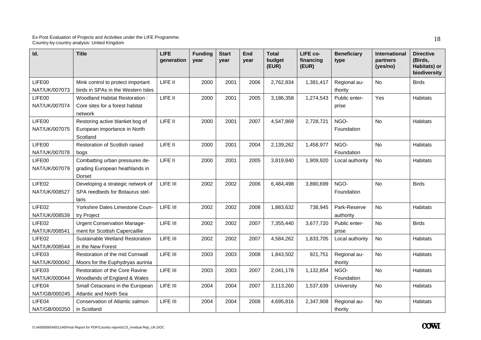| Id.                     | <b>Title</b>                                                                  | <b>LIFE</b><br>generation | <b>Funding</b><br>vear | <b>Start</b><br>vear | End<br>year | <b>Total</b><br>budget<br>(EUR) | LIFE co-<br>financing<br>(EUR) | <b>Beneficiary</b><br>type | <b>International</b><br>partners<br>(yes/no) | <b>Directive</b><br>(Birds,<br>Habitats) or<br>biodiversity |
|-------------------------|-------------------------------------------------------------------------------|---------------------------|------------------------|----------------------|-------------|---------------------------------|--------------------------------|----------------------------|----------------------------------------------|-------------------------------------------------------------|
| LIFE00<br>NAT/UK/007073 | Mink control to protect important<br>birds in SPAs in the Western Isles       | LIFE II                   | 2000                   | 2001                 | 2006        | 2,762,834                       | 1,381,417                      | Regional au-<br>thority    | <b>No</b>                                    | <b>Birds</b>                                                |
| LIFE00<br>NAT/UK/007074 | Woodland Habitat Restoration:<br>Core sites for a forest habitat<br>network   | LIFE II                   | 2000                   | 2001                 | 2005        | 3,186,358                       | 1,274,543                      | Public enter-<br>prise     | Yes                                          | Habitats                                                    |
| LIFE00<br>NAT/UK/007075 | Restoring active blanket bog of<br>European importance in North<br>Scotland   | LIFE II                   | 2000                   | 2001                 | 2007        | 4,547,869                       | 2,728,721                      | NGO-<br>Foundation         | <b>No</b>                                    | Habitats                                                    |
| LIFE00<br>NAT/UK/007078 | Restoration of Scottish raised<br>bogs                                        | LIFE II                   | 2000                   | 2001                 | 2004        | 2,139,262                       | 1,458,977                      | NGO-<br>Foundation         | <b>No</b>                                    | Habitats                                                    |
| LIFE00<br>NAT/UK/007079 | Combatting urban pressures de-<br>grading European heathlands in<br>Dorset    | LIFE II                   | 2000                   | 2001                 | 2005        | 3,819,840                       | 1,909,920                      | Local authority            | <b>No</b>                                    | Habitats                                                    |
| LIFE02<br>NAT/UK/008527 | Developing a strategic network of<br>SPA reedbeds for Botaurus stel-<br>laris | LIFE III                  | 2002                   | 2002                 | 2006        | 6,484,498                       | 3,890,699                      | NGO-<br>Foundation         | <b>No</b>                                    | <b>Birds</b>                                                |
| LIFE02<br>NAT/UK/008539 | Yorkshire Dales Limestone Coun-<br>try Project                                | LIFE III                  | 2002                   | 2002                 | 2008        | 1,883,632                       | 738,945                        | Park-Reserve<br>authority  | No                                           | Habitats                                                    |
| LIFE02<br>NAT/UK/008541 | <b>Urgent Conservation Manage-</b><br>ment for Scottish Capercaillie          | LIFE III                  | 2002                   | 2002                 | 2007        | 7,355,440                       | 3,677,720                      | Public enter-<br>prise     | <b>No</b>                                    | <b>Birds</b>                                                |
| LIFE02<br>NAT/UK/008544 | Sustainable Wetland Restoration<br>in the New Forest                          | LIFE III                  | 2002                   | 2002                 | 2007        | 4,584,262                       | 1,833,705                      | Local authority            | <b>No</b>                                    | Habitats                                                    |
| LIFE03<br>NAT/UK/000042 | Restoration of the mid Cornwall<br>Moors for the Euphydryas aurinia           | LIFE III                  | 2003                   | 2003                 | 2008        | 1,843,502                       | 921,751                        | Regional au-<br>thority    | No                                           | <b>Habitats</b>                                             |
| LIFE03<br>NAT/UK/000044 | Restoration of the Core Ravine<br>Woodlands of England & Wales                | LIFE III                  | 2003                   | 2003                 | 2007        | 2,041,178                       | 1,132,854                      | NGO-<br>Foundation         | <b>No</b>                                    | Habitats                                                    |
| LIFE04<br>NAT/GB/000245 | Small Cetaceans in the European<br>Atlantic and North Sea                     | LIFE III                  | 2004                   | 2004                 | 2007        | 3,113,260                       | 1,537,639                      | University                 | No                                           | Habitats                                                    |
| LIFE04<br>NAT/GB/000250 | Conservation of Atlantic salmon<br>in Scotland                                | LIFE III                  | 2004                   | 2004                 | 2008        | 4,695,816                       | 2,347,908                      | Regional au-<br>thority    | <b>No</b>                                    | Habitats                                                    |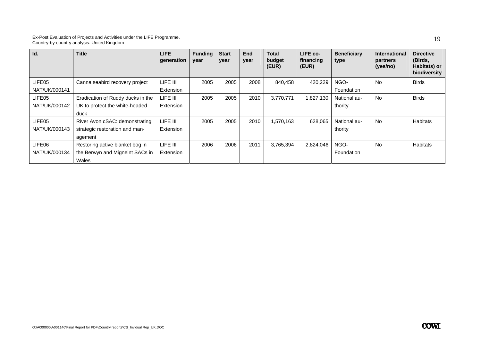| Id.                     | <b>Title</b>                                                                | LIFE.<br>generation   | <b>Funding</b><br>year | <b>Start</b><br>year | <b>End</b><br>year | <b>Total</b><br>budget<br>(EUR) | LIFE co-<br>financing<br>(EUR) | <b>Beneficiary</b><br>type | <b>International</b><br>partners<br>(yes/no) | <b>Directive</b><br>(Birds,<br>Habitats) or<br>biodiversity |
|-------------------------|-----------------------------------------------------------------------------|-----------------------|------------------------|----------------------|--------------------|---------------------------------|--------------------------------|----------------------------|----------------------------------------------|-------------------------------------------------------------|
| LIFE05<br>NAT/UK/000141 | Canna seabird recovery project                                              | LIFE III<br>Extension | 2005                   | 2005                 | 2008               | 840,458                         | 420,229                        | NGO-<br>Foundation         | <b>No</b>                                    | <b>Birds</b>                                                |
| LIFE05<br>NAT/UK/000142 | Eradication of Ruddy ducks in the<br>UK to protect the white-headed<br>duck | LIFE III<br>Extension | 2005                   | 2005                 | 2010               | 3,770,771                       | 1,827,130                      | National au-<br>thority    | <b>No</b>                                    | <b>Birds</b>                                                |
| LIFE05<br>NAT/UK/000143 | River Avon cSAC: demonstrating<br>strategic restoration and man-<br>agement | LIFE III<br>Extension | 2005                   | 2005                 | 2010               | 1,570,163                       | 628,065                        | National au-<br>thority    | <b>No</b>                                    | Habitats                                                    |
| LIFE06<br>NAT/UK/000134 | Restoring active blanket bog in<br>the Berwyn and Migneint SACs in<br>Wales | LIFE III<br>Extension | 2006                   | 2006                 | 2011               | 3,765,394                       | 2,824,046                      | NGO-<br>Foundation         | <b>No</b>                                    | Habitats                                                    |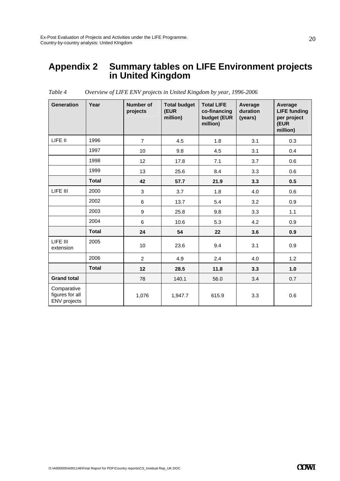### **Appendix 2 Summary tables on LIFE Environment projects in United Kingdom**

| <b>Generation</b>                                     | Year         | Number of<br>projects | <b>Total budget</b><br>(EUR<br>million) | <b>Total LIFE</b><br>co-financing<br>budget (EUR<br>million) | Average<br>duration<br>(years) | Average<br><b>LIFE funding</b><br>per project<br>(EUR<br>million) |
|-------------------------------------------------------|--------------|-----------------------|-----------------------------------------|--------------------------------------------------------------|--------------------------------|-------------------------------------------------------------------|
| LIFE II                                               | 1996         | $\overline{7}$        | 4.5                                     | 1.8                                                          | 3.1                            | 0.3                                                               |
|                                                       | 1997         | 10                    | 9.8                                     | 4.5                                                          | 3.1                            | 0.4                                                               |
|                                                       | 1998         | 12                    | 17.8                                    | 7.1                                                          | 3.7                            | 0.6                                                               |
|                                                       | 1999         | 13                    | 25.6                                    | 8.4                                                          | 3.3                            | 0.6                                                               |
|                                                       | <b>Total</b> | 42                    | 57.7                                    | 21.9                                                         | 3.3                            | 0.5                                                               |
| LIFE III                                              | 2000         | 3                     | 3.7                                     | 1.8                                                          | 4.0                            | 0.6                                                               |
|                                                       | 2002         | 6                     | 13.7                                    | 5.4                                                          | 3.2                            | 0.9                                                               |
|                                                       | 2003         | 9                     | 25.8                                    | 9.8                                                          | 3.3                            | 1.1                                                               |
|                                                       | 2004         | 6                     | 10.6                                    | 5.3                                                          | 4.2                            | 0.9                                                               |
|                                                       | <b>Total</b> | 24                    | 54                                      | 22                                                           | 3.6                            | 0.9                                                               |
| LIFE III<br>extension                                 | 2005         | 10                    | 23.6                                    | 9.4                                                          | 3.1                            | 0.9                                                               |
|                                                       | 2006         | $\overline{2}$        | 4.9                                     | 2.4                                                          | 4.0                            | 1.2                                                               |
|                                                       | <b>Total</b> | 12                    | 28.5                                    | 11.8                                                         | 3.3                            | 1.0                                                               |
| <b>Grand total</b>                                    |              | 78                    | 140.1                                   | 56.0                                                         | 3.4                            | 0.7                                                               |
| Comparative<br>figures for all<br><b>ENV</b> projects |              | 1,076                 | 1,947.7                                 | 615.9                                                        | 3.3                            | 0.6                                                               |

*Table 4 Overview of LIFE ENV projects in United Kingdom by year, 1996-2006*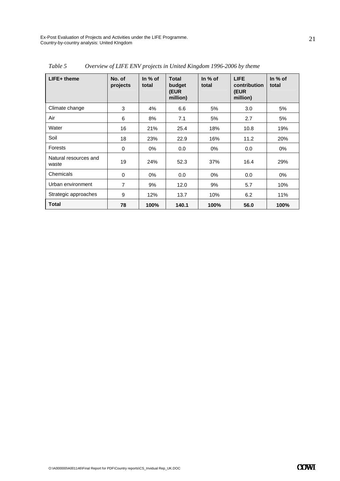| LIFE+ theme                    | No. of<br>projects | In $%$ of<br>total | <b>Total</b><br>budget<br>(EUR<br>million) | In $%$ of<br>total | <b>LIFE</b><br>contribution<br>(EUR<br>million) | In $%$ of<br>total |
|--------------------------------|--------------------|--------------------|--------------------------------------------|--------------------|-------------------------------------------------|--------------------|
| Climate change                 | 3                  | 4%                 | 6.6                                        | 5%                 | 3.0                                             | 5%                 |
| Air                            | 6                  | 8%                 | 7.1                                        | 5%                 | 2.7                                             | 5%                 |
| Water                          | 16                 | 21%                | 25.4                                       | 18%                | 10.8                                            | 19%                |
| Soil                           | 18                 | 23%                | 22.9                                       | 16%                | 11.2                                            | 20%                |
| <b>Forests</b>                 | 0                  | $0\%$              | 0.0                                        | $0\%$              | 0.0                                             | 0%                 |
| Natural resources and<br>waste | 19                 | 24%                | 52.3                                       | 37%                | 16.4                                            | 29%                |
| Chemicals                      | 0                  | $0\%$              | 0.0                                        | $0\%$              | 0.0                                             | 0%                 |
| Urban environment              | $\overline{7}$     | 9%                 | 12.0                                       | 9%                 | 5.7                                             | 10%                |
| Strategic approaches           | 9                  | 12%                | 13.7                                       | 10%                | 6.2                                             | 11%                |
| <b>Total</b>                   | 78                 | 100%               | 140.1                                      | 100%               | 56.0                                            | 100%               |

| Table 5 | Overview of LIFE ENV projects in United Kingdom 1996-2006 by theme |  |  |  |
|---------|--------------------------------------------------------------------|--|--|--|
|---------|--------------------------------------------------------------------|--|--|--|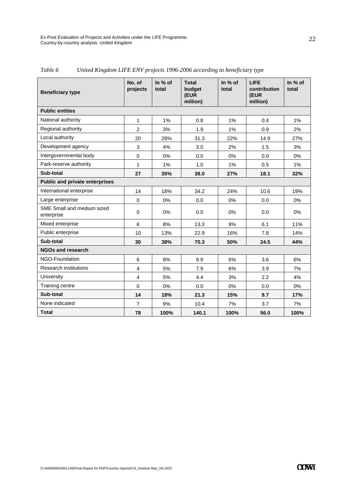| <b>Beneficiary type</b>                  | No. of<br>projects | In % of<br>total | <b>Total</b><br>budget<br>(EUR<br>million) | In % of<br>total | <b>LIFE</b><br>contribution<br>(EUR<br>million) | In % of<br>total |
|------------------------------------------|--------------------|------------------|--------------------------------------------|------------------|-------------------------------------------------|------------------|
| <b>Public entities</b>                   |                    |                  |                                            |                  |                                                 |                  |
| National authority                       | 1                  | 1%               | 0.8                                        | 1%               | 0.4                                             | 1%               |
| Regional authority                       | $\overline{2}$     | 3%               | 1.9                                        | 1%               | 0.9                                             | 2%               |
| Local authority                          | 20                 | 26%              | 31.3                                       | 22%              | 14.9                                            | 27%              |
| Development agency                       | 3                  | 4%               | 3.0                                        | 2%               | 1.5                                             | 3%               |
| Intergovernmental body                   | 0                  | 0%               | 0.0                                        | 0%               | 0.0                                             | 0%               |
| Park-reserve authority                   | 1                  | 1%               | 1.0                                        | 1%               | 0.5                                             | 1%               |
| Sub-total                                | 27                 | 35%              | 38.0                                       | 27%              | 18.1                                            | 32%              |
| <b>Public and private enterprises</b>    |                    |                  |                                            |                  |                                                 |                  |
| International enterprise                 | 14                 | 18%              | 34.2                                       | 24%              | 10.6                                            | 19%              |
| Large enterprise                         | $\Omega$           | 0%               | 0.0                                        | 0%               | 0.0                                             | 0%               |
| SME Small and medium sized<br>enterprise | $\mathbf 0$        | 0%               | 0.0                                        | 0%               | 0.0                                             | 0%               |
| Mixed enterprise                         | 6                  | 8%               | 13.3                                       | 9%               | 6.1                                             | 11%              |
| Public enterprise                        | 10                 | 13%              | 22.9                                       | 16%              | 7.8                                             | 14%              |
| Sub-total                                | 30                 | 38%              | 70.3                                       | 50%              | 24.5                                            | 44%              |
| <b>NGOs and research</b>                 |                    |                  |                                            |                  |                                                 |                  |
| NGO-Foundation                           | 6                  | 8%               | 8.9                                        | 6%               | 3.6                                             | 6%               |
| <b>Research institutions</b>             | $\overline{4}$     | 5%               | 7.9                                        | 6%               | 3.9                                             | 7%               |
| University                               | $\overline{4}$     | 5%               | 4.4                                        | 3%               | 2.2                                             | 4%               |
| Training centre                          | $\mathbf 0$        | 0%               | 0.0                                        | 0%               | 0.0                                             | $0\%$            |
| Sub-total                                | 14                 | 18%              | 21.3                                       | 15%              | 9.7                                             | 17%              |
| None indicated                           | $\overline{7}$     | 9%               | 10.4                                       | 7%               | 3.7                                             | 7%               |
| <b>Total</b>                             | 78                 | 100%             | 140.1                                      | 100%             | 56.0                                            | 100%             |

*Table 6 United Kingdom LIFE ENV projects 1996-2006 according to beneficiary type*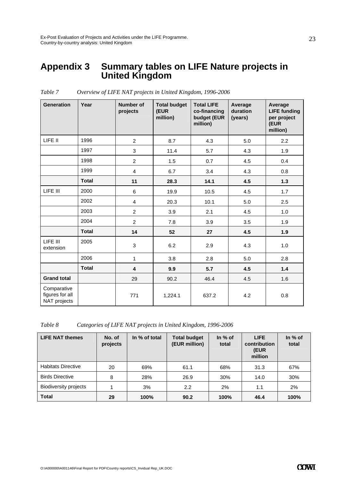### **Appendix 3 Summary tables on LIFE Nature projects in United Kingdom**

| <b>Generation</b>                              | Year         | <b>Number of</b><br>projects | <b>Total budget</b><br>(EUR<br>million) | <b>Total LIFE</b><br>co-financing<br>budget (EUR<br>million) | Average<br>duration<br>(years) | Average<br><b>LIFE funding</b><br>per project<br>(EUR<br>million) |
|------------------------------------------------|--------------|------------------------------|-----------------------------------------|--------------------------------------------------------------|--------------------------------|-------------------------------------------------------------------|
| LIFE II                                        | 1996         | $\overline{2}$               | 8.7                                     | 4.3                                                          | 5.0                            | $2.2\phantom{0}$                                                  |
|                                                | 1997         | 3                            | 11.4                                    | 5.7                                                          | 4.3                            | 1.9                                                               |
|                                                | 1998         | $\overline{2}$               | 1.5                                     | 0.7                                                          | 4.5                            | 0.4                                                               |
|                                                | 1999         | $\overline{4}$               | 6.7                                     | 3.4                                                          | 4.3                            | 0.8                                                               |
|                                                | <b>Total</b> | 11                           | 28.3                                    | 14.1                                                         | 4.5                            | $1.3$                                                             |
| LIFE III                                       | 2000         | 6                            | 19.9                                    | 10.5                                                         | 4.5                            | 1.7                                                               |
|                                                | 2002         | $\overline{4}$               | 20.3                                    | 10.1                                                         | 5.0                            | 2.5                                                               |
|                                                | 2003         | $\overline{2}$               | 3.9                                     | 2.1                                                          | 4.5                            | 1.0                                                               |
|                                                | 2004         | $\overline{2}$               | 7.8                                     | 3.9                                                          | 3.5                            | 1.9                                                               |
|                                                | <b>Total</b> | 14                           | 52                                      | 27                                                           | 4.5                            | 1.9                                                               |
| LIFE III<br>extension                          | 2005         | 3                            | 6.2                                     | 2.9                                                          | 4.3                            | 1.0                                                               |
|                                                | 2006         | $\mathbf{1}$                 | 3.8                                     | 2.8                                                          | 5.0                            | 2.8                                                               |
|                                                | <b>Total</b> | 4                            | 9.9                                     | 5.7                                                          | 4.5                            | 1.4                                                               |
| <b>Grand total</b>                             |              | 29                           | 90.2                                    | 46.4                                                         | 4.5                            | 1.6                                                               |
| Comparative<br>figures for all<br>NAT projects |              | 771                          | 1,224.1                                 | 637.2                                                        | 4.2                            | 0.8                                                               |

*Table 7 Overview of LIFE NAT projects in United Kingdom, 1996-2006* 

*Table 8 Categories of LIFE NAT projects in United Kingdom, 1996-2006* 

| <b>LIFE NAT themes</b>       | No. of<br>projects | In % of total | <b>Total budget</b><br>(EUR million) | In $%$ of<br>total | <b>LIFE</b><br>contribution<br>(EUR<br>million | In $%$ of<br>total |
|------------------------------|--------------------|---------------|--------------------------------------|--------------------|------------------------------------------------|--------------------|
| <b>Habitats Directive</b>    | 20                 | 69%           | 61.1                                 | 68%                | 31.3                                           | 67%                |
| <b>Birds Directive</b>       | 8                  | 28%           | 26.9                                 | 30%                | 14.0                                           | 30%                |
| <b>Biodiversity projects</b> |                    | 3%            | 2.2                                  | 2%                 | 1.1                                            | 2%                 |
| <b>Total</b>                 | 29                 | 100%          | 90.2                                 | 100%               | 46.4                                           | 100%               |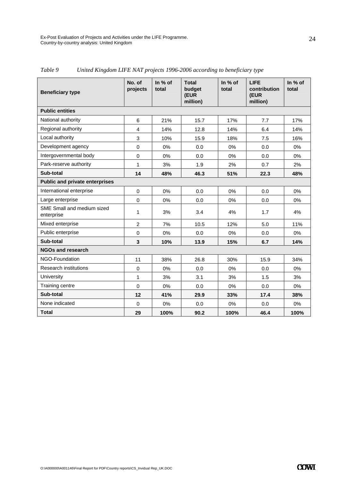| <b>Beneficiary type</b>                  | No. of<br>projects      | In % of<br>total | <b>Total</b><br>budget<br>(EUR<br>million) | In % of<br>total | <b>LIFE</b><br>contribution<br>(EUR<br>million) | In % of<br>total |
|------------------------------------------|-------------------------|------------------|--------------------------------------------|------------------|-------------------------------------------------|------------------|
| <b>Public entities</b>                   |                         |                  |                                            |                  |                                                 |                  |
| National authority                       | 6                       | 21%              | 15.7                                       | 17%              | 7.7                                             | 17%              |
| Regional authority                       | 4                       | 14%              | 12.8                                       | 14%              | 6.4                                             | 14%              |
| Local authority                          | 3                       | 10%              | 15.9                                       | 18%              | 7.5                                             | 16%              |
| Development agency                       | $\mathbf 0$             | 0%               | 0.0                                        | 0%               | 0.0                                             | 0%               |
| Intergovernmental body                   | $\mathbf 0$             | 0%               | 0.0                                        | 0%               | 0.0                                             | 0%               |
| Park-reserve authority                   | 1                       | 3%               | 1.9                                        | 2%               | 0.7                                             | 2%               |
| Sub-total                                | 14                      | 48%              | 46.3                                       | 51%              | 22.3                                            | 48%              |
| <b>Public and private enterprises</b>    |                         |                  |                                            |                  |                                                 |                  |
| International enterprise                 | $\mathbf 0$             | 0%               | 0.0                                        | 0%               | 0.0                                             | 0%               |
| Large enterprise                         | $\mathbf 0$             | 0%               | 0.0                                        | 0%               | 0.0                                             | $0\%$            |
| SME Small and medium sized<br>enterprise | 1                       | 3%               | 3.4                                        | 4%               | 1.7                                             | 4%               |
| Mixed enterprise                         | $\overline{2}$          | 7%               | 10.5                                       | 12%              | 5.0                                             | 11%              |
| Public enterprise                        | $\mathbf 0$             | 0%               | 0.0                                        | $0\%$            | 0.0                                             | $0\%$            |
| Sub-total                                | $\overline{\mathbf{3}}$ | 10%              | 13.9                                       | 15%              | 6.7                                             | 14%              |
| <b>NGOs and research</b>                 |                         |                  |                                            |                  |                                                 |                  |
| NGO-Foundation                           | 11                      | 38%              | 26.8                                       | 30%              | 15.9                                            | 34%              |
| <b>Research institutions</b>             | $\mathbf 0$             | 0%               | 0.0                                        | $0\%$            | 0.0                                             | $0\%$            |
| University                               | 1                       | 3%               | 3.1                                        | 3%               | 1.5                                             | 3%               |
| Training centre                          | $\Omega$                | 0%               | 0.0                                        | 0%               | 0.0                                             | $0\%$            |
| Sub-total                                | 12                      | 41%              | 29.9                                       | 33%              | 17.4                                            | 38%              |
| None indicated                           | $\Omega$                | 0%               | 0.0                                        | 0%               | 0.0                                             | $0\%$            |
| <b>Total</b>                             | 29                      | 100%             | 90.2                                       | 100%             | 46.4                                            | 100%             |

*Table 9 United Kingdom LIFE NAT projects 1996-2006 according to beneficiary type*